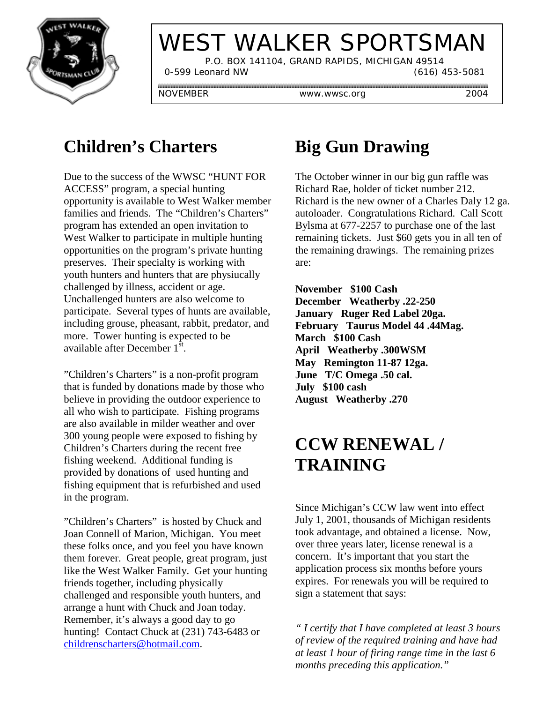

# WEST WALKER SPORTSMAN

 P.O. BOX 141104, GRAND RAPIDS, MICHIGAN 49514 0-599 Leonard NW (616) 453-5081

NOVEMBER www.wwsc.org 2004

### **Children's Charters**

Due to the success of the WWSC "HUNT FOR ACCESS" program, a special hunting opportunity is available to West Walker member families and friends. The "Children's Charters" program has extended an open invitation to West Walker to participate in multiple hunting opportunities on the program's private hunting preserves. Their specialty is working with youth hunters and hunters that are physiucally challenged by illness, accident or age. Unchallenged hunters are also welcome to participate. Several types of hunts are available, including grouse, pheasant, rabbit, predator, and more. Tower hunting is expected to be available after December  $1^{st}$ .

"Children's Charters" is a non-profit program that is funded by donations made by those who believe in providing the outdoor experience to all who wish to participate. Fishing programs are also available in milder weather and over 300 young people were exposed to fishing by Children's Charters during the recent free fishing weekend. Additional funding is provided by donations of used hunting and fishing equipment that is refurbished and used in the program.

"Children's Charters" is hosted by Chuck and Joan Connell of Marion, Michigan. You meet these folks once, and you feel you have known them forever. Great people, great program, just like the West Walker Family. Get your hunting friends together, including physically challenged and responsible youth hunters, and arrange a hunt with Chuck and Joan today. Remember, it's always a good day to go hunting! Contact Chuck at (231) 743-6483 or childrenscharters@hotmail.com.

## **Big Gun Drawing**

The October winner in our big gun raffle was Richard Rae, holder of ticket number 212. Richard is the new owner of a Charles Daly 12 ga. autoloader. Congratulations Richard. Call Scott Bylsma at 677-2257 to purchase one of the last remaining tickets. Just \$60 gets you in all ten of the remaining drawings. The remaining prizes are:

**November \$100 Cash December Weatherby .22-250 January Ruger Red Label 20ga. February Taurus Model 44 .44Mag. March \$100 Cash April Weatherby .300WSM May Remington 11-87 12ga. June T/C Omega .50 cal. July \$100 cash August Weatherby .270**

### **CCW RENEWAL / TRAINING**

Since Michigan's CCW law went into effect July 1, 2001, thousands of Michigan residents took advantage, and obtained a license. Now, over three years later, license renewal is a concern. It's important that you start the application process six months before yours expires. For renewals you will be required to sign a statement that says:

*" I certify that I have completed at least 3 hours of review of the required training and have had at least 1 hour of firing range time in the last 6 months preceding this application."*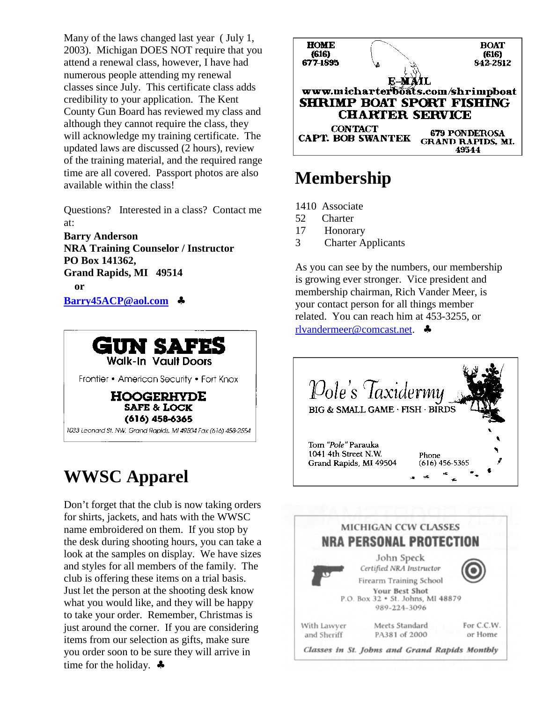Many of the laws changed last year ( July 1, 2003). Michigan DOES NOT require that you attend a renewal class, however, I have had numerous people attending my renewal classes since July. This certificate class adds credibility to your application. The Kent County Gun Board has reviewed my class and although they cannot require the class, they will acknowledge my training certificate. The updated laws are discussed (2 hours), review of the training material, and the required range time are all covered. Passport photos are also available within the class!

Questions? Interested in a class? Contact me at:

**Barry Anderson NRA Training Counselor / Instructor PO Box 141362, Grand Rapids, MI 49514 or Barry45ACP@aol.com** ♣



# **WWSC Apparel**

Don't forget that the club is now taking orders for shirts, jackets, and hats with the WWSC name embroidered on them. If you stop by the desk during shooting hours, you can take a look at the samples on display. We have sizes and styles for all members of the family. The club is offering these items on a trial basis. Just let the person at the shooting desk know what you would like, and they will be happy to take your order. Remember, Christmas is just around the corner. If you are considering items from our selection as gifts, make sure you order soon to be sure they will arrive in time for the holiday. ♣



#### **Membership**

- 1410 Associate
- 52 Charter
- 17 Honorary
- 3 Charter Applicants

As you can see by the numbers, our membership is growing ever stronger. Vice president and membership chairman, Rich Vander Meer, is your contact person for all things member related. You can reach him at 453-3255, or rlvandermeer@comcast.net. ♣



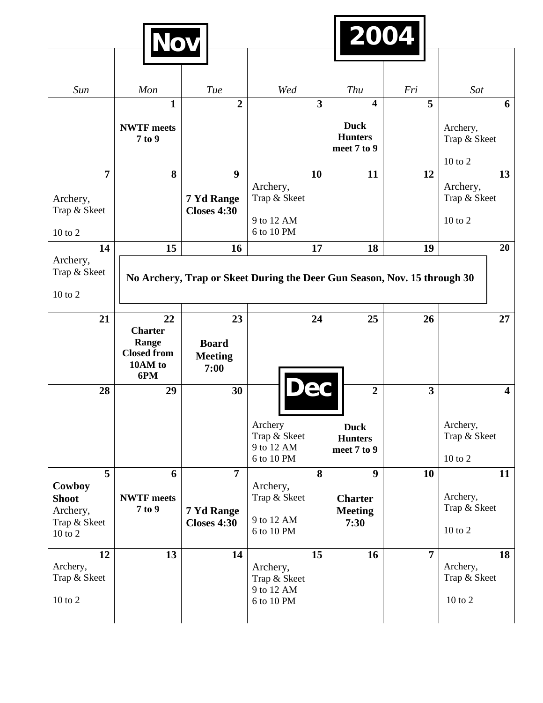|                                                                    |                                                                       |                                                      |                                                                          | 2004                                                                    |                |                                               |
|--------------------------------------------------------------------|-----------------------------------------------------------------------|------------------------------------------------------|--------------------------------------------------------------------------|-------------------------------------------------------------------------|----------------|-----------------------------------------------|
|                                                                    |                                                                       |                                                      |                                                                          |                                                                         |                |                                               |
| Sun                                                                | Mon                                                                   | Tue                                                  | Wed                                                                      | Thu                                                                     | Fri            | Sat                                           |
|                                                                    | $\mathbf{1}$<br><b>NWTF</b> meets<br>7 to 9                           | $\overline{2}$                                       | $\overline{\mathbf{3}}$                                                  | $\overline{\mathbf{4}}$<br><b>Duck</b><br><b>Hunters</b><br>meet 7 to 9 | 5              | 6<br>Archery,<br>Trap & Skeet                 |
|                                                                    |                                                                       |                                                      |                                                                          |                                                                         |                | $10$ to $2$                                   |
| $\overline{7}$<br>Archery,<br>Trap & Skeet<br>10 to 2              | 8                                                                     | $\boldsymbol{9}$<br>7 Yd Range<br><b>Closes 4:30</b> | 10<br>Archery,<br>Trap & Skeet<br>9 to 12 AM<br>6 to 10 PM               | 11                                                                      | 12             | 13<br>Archery,<br>Trap & Skeet<br>$10$ to $2$ |
| 14                                                                 | 15                                                                    | 16                                                   | 17                                                                       | 18                                                                      | 19             | 20                                            |
| Archery,<br>Trap & Skeet<br>10 to 2                                |                                                                       |                                                      | No Archery, Trap or Skeet During the Deer Gun Season, Nov. 15 through 30 |                                                                         |                |                                               |
| 21                                                                 | 22<br><b>Charter</b><br>Range<br><b>Closed from</b><br>10AM to<br>6PM | 23<br><b>Board</b><br><b>Meeting</b><br>7:00         | 24                                                                       | 25                                                                      | 26             | 27                                            |
| 28                                                                 | 29                                                                    | 30                                                   | Dec<br>Archery<br>Trap & Skeet<br>9 to 12 AM<br>6 to 10 PM               | $\overline{2}$<br><b>Duck</b><br><b>Hunters</b><br>meet 7 to 9          | 3              | 4<br>Archery,<br>Trap & Skeet<br>10 to 2      |
| 5<br>Cowboy<br><b>Shoot</b><br>Archery,<br>Trap & Skeet<br>10 to 2 | 6<br><b>NWTF</b> meets<br>7 to 9                                      | $\overline{7}$<br>7 Yd Range<br><b>Closes 4:30</b>   | 8<br>Archery,<br>Trap & Skeet<br>9 to 12 AM<br>6 to 10 PM                | $\boldsymbol{9}$<br><b>Charter</b><br><b>Meeting</b><br>7:30            | 10             | 11<br>Archery,<br>Trap & Skeet<br>10 to 2     |
| 12<br>Archery,<br>Trap & Skeet<br>10 to 2                          | 13                                                                    | 14                                                   | 15<br>Archery,<br>Trap & Skeet<br>9 to 12 AM<br>6 to 10 PM               | 16                                                                      | $\overline{7}$ | 18<br>Archery,<br>Trap & Skeet<br>10 to 2     |